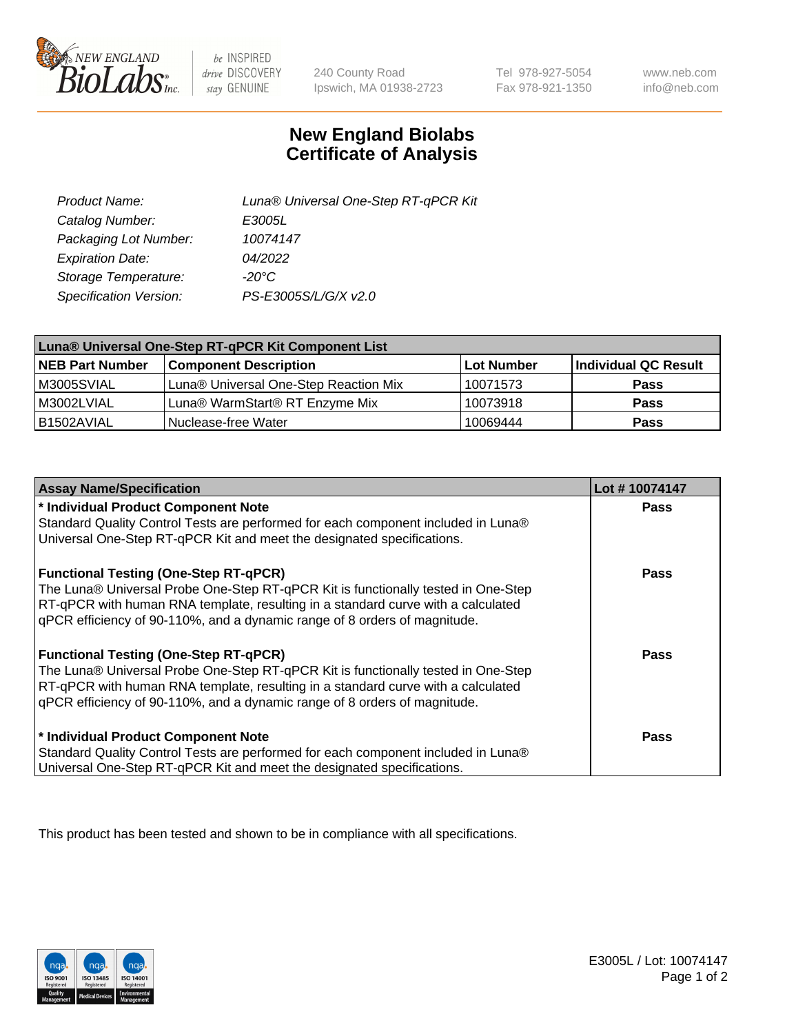

 $be$  INSPIRED drive DISCOVERY stay GENUINE

240 County Road Ipswich, MA 01938-2723

Tel 978-927-5054 Fax 978-921-1350

www.neb.com info@neb.com

## **New England Biolabs Certificate of Analysis**

| Product Name:           | Luna® Universal One-Step RT-qPCR Kit |
|-------------------------|--------------------------------------|
| Catalog Number:         | E3005L                               |
| Packaging Lot Number:   | 10074147                             |
| <b>Expiration Date:</b> | 04/2022                              |
| Storage Temperature:    | $-20^{\circ}$ C                      |
| Specification Version:  | PS-E3005S/L/G/X v2.0                 |

| Luna® Universal One-Step RT-qPCR Kit Component List |                                       |            |                      |  |
|-----------------------------------------------------|---------------------------------------|------------|----------------------|--|
| <b>NEB Part Number</b>                              | <b>Component Description</b>          | Lot Number | Individual QC Result |  |
| M3005SVIAL                                          | Luna® Universal One-Step Reaction Mix | 10071573   | <b>Pass</b>          |  |
| M3002LVIAL                                          | Luna® WarmStart® RT Enzyme Mix        | 10073918   | <b>Pass</b>          |  |
| B1502AVIAL                                          | Nuclease-free Water                   | 10069444   | <b>Pass</b>          |  |

| <b>Assay Name/Specification</b>                                                   | Lot #10074147 |
|-----------------------------------------------------------------------------------|---------------|
| * Individual Product Component Note                                               | <b>Pass</b>   |
| Standard Quality Control Tests are performed for each component included in Luna® |               |
| Universal One-Step RT-qPCR Kit and meet the designated specifications.            |               |
| <b>Functional Testing (One-Step RT-qPCR)</b>                                      | Pass          |
| The Luna® Universal Probe One-Step RT-qPCR Kit is functionally tested in One-Step |               |
| RT-qPCR with human RNA template, resulting in a standard curve with a calculated  |               |
| qPCR efficiency of 90-110%, and a dynamic range of 8 orders of magnitude.         |               |
| <b>Functional Testing (One-Step RT-qPCR)</b>                                      | Pass          |
| The Luna® Universal Probe One-Step RT-qPCR Kit is functionally tested in One-Step |               |
| RT-qPCR with human RNA template, resulting in a standard curve with a calculated  |               |
| qPCR efficiency of 90-110%, and a dynamic range of 8 orders of magnitude.         |               |
| * Individual Product Component Note                                               | <b>Pass</b>   |
| Standard Quality Control Tests are performed for each component included in Luna® |               |
| Universal One-Step RT-qPCR Kit and meet the designated specifications.            |               |

This product has been tested and shown to be in compliance with all specifications.